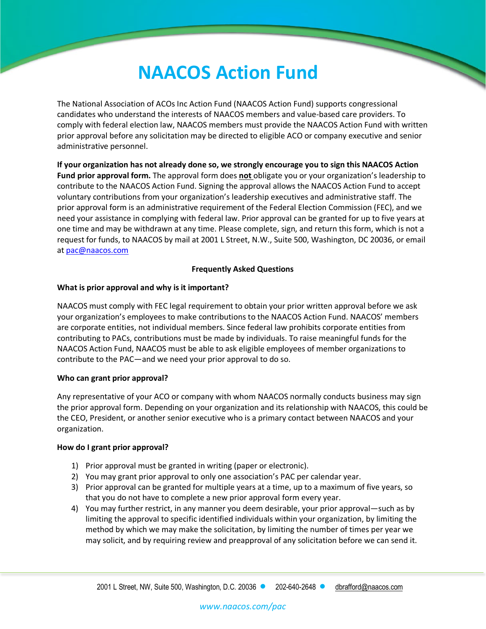# **NAACOS Action Fund**

The National Association of ACOs Inc Action Fund (NAACOS Action Fund) supports congressional candidates who understand the interests of NAACOS members and value-based care providers. To comply with federal election law, NAACOS members must provide the NAACOS Action Fund with written prior approval before any solicitation may be directed to eligible ACO or company executive and senior administrative personnel.

**If your organization has not already done so, we strongly encourage you to sign this NAACOS Action Fund prior approval form.** The approval form does **not** obligate you or your organization's leadership to contribute to the NAACOS Action Fund. Signing the approval allows the NAACOS Action Fund to accept voluntary contributions from your organization's leadership executives and administrative staff. The prior approval form is an administrative requirement of the Federal Election Commission (FEC), and we need your assistance in complying with federal law. Prior approval can be granted for up to five years at one time and may be withdrawn at any time. Please complete, sign, and return this form, which is not a request for funds, to NAACOS by mail at 2001 L Street, N.W., Suite 500, Washington, DC 20036, or email at [pac@naacos.com](mailto:pac@naacos.com)

#### **Frequently Asked Questions**

#### **What is prior approval and why is it important?**

NAACOS must comply with FEC legal requirement to obtain your prior written approval before we ask your organization's employees to make contributions to the NAACOS Action Fund. NAACOS' members are corporate entities, not individual members. Since federal law prohibits corporate entities from contributing to PACs, contributions must be made by individuals. To raise meaningful funds for the NAACOS Action Fund, NAACOS must be able to ask eligible employees of member organizations to contribute to the PAC—and we need your prior approval to do so.

#### **Who can grant prior approval?**

Any representative of your ACO or company with whom NAACOS normally conducts business may sign the prior approval form. Depending on your organization and its relationship with NAACOS, this could be the CEO, President, or another senior executive who is a primary contact between NAACOS and your organization.

#### **How do I grant prior approval?**

- 1) Prior approval must be granted in writing (paper or electronic).
- 2) You may grant prior approval to only one association's PAC per calendar year.
- 3) Prior approval can be granted for multiple years at a time, up to a maximum of five years, so that you do not have to complete a new prior approval form every year.
- 4) You may further restrict, in any manner you deem desirable, your prior approval—such as by limiting the approval to specific identified individuals within your organization, by limiting the method by which we may make the solicitation, by limiting the number of times per year we may solicit, and by requiring review and preapproval of any solicitation before we can send it.